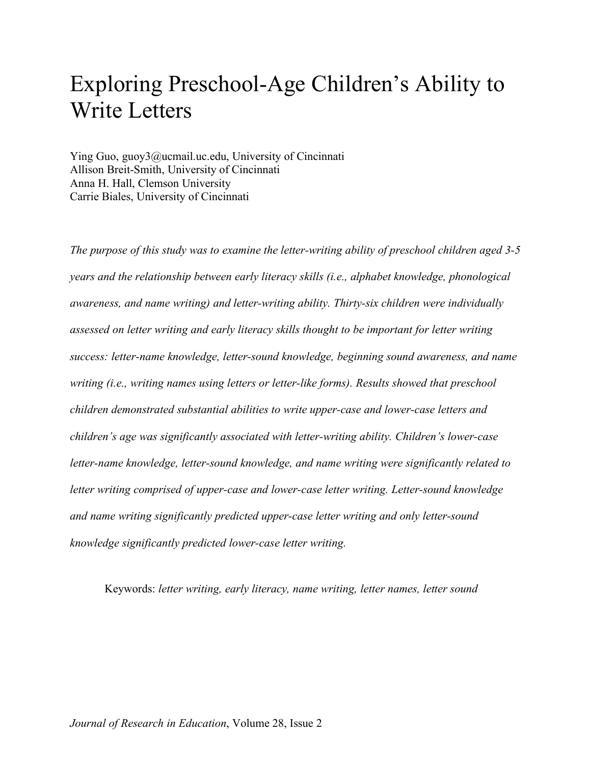# Exploring Preschool-Age Children's Ability to Write Letters

Ying Guo, guoy3@ucmail.uc.edu, University of Cincinnati Allison Breit-Smith, University of Cincinnati Anna H. Hall, Clemson University Carrie Biales, University of Cincinnati

*The purpose of this study was to examine the letter-writing ability of preschool children aged 3-5 years and the relationship between early literacy skills (i.e., alphabet knowledge, phonological awareness, and name writing) and letter-writing ability. Thirty-six children were individually assessed on letter writing and early literacy skills thought to be important for letter writing success: letter-name knowledge, letter-sound knowledge, beginning sound awareness, and name writing (i.e., writing names using letters or letter-like forms). Results showed that preschool children demonstrated substantial abilities to write upper-case and lower-case letters and children's age was significantly associated with letter-writing ability. Children's lower-case letter-name knowledge, letter-sound knowledge, and name writing were significantly related to letter writing comprised of upper-case and lower-case letter writing. Letter-sound knowledge and name writing significantly predicted upper-case letter writing and only letter-sound knowledge significantly predicted lower-case letter writing.* 

Keywords: *letter writing, early literacy, name writing, letter names, letter sound*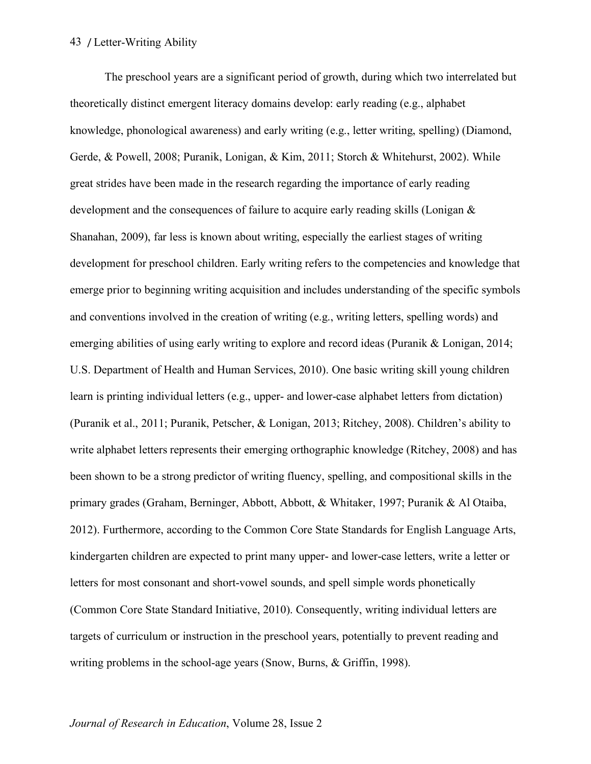The preschool years are a significant period of growth, during which two interrelated but theoretically distinct emergent literacy domains develop: early reading (e.g., alphabet knowledge, phonological awareness) and early writing (e.g., letter writing, spelling) (Diamond, Gerde, & Powell, 2008; Puranik, Lonigan, & Kim, 2011; Storch & Whitehurst, 2002). While great strides have been made in the research regarding the importance of early reading development and the consequences of failure to acquire early reading skills (Lonigan & Shanahan, 2009), far less is known about writing, especially the earliest stages of writing development for preschool children. Early writing refers to the competencies and knowledge that emerge prior to beginning writing acquisition and includes understanding of the specific symbols and conventions involved in the creation of writing (e.g., writing letters, spelling words) and emerging abilities of using early writing to explore and record ideas (Puranik & Lonigan, 2014; U.S. Department of Health and Human Services, 2010). One basic writing skill young children learn is printing individual letters (e.g., upper- and lower-case alphabet letters from dictation) (Puranik et al., 2011; Puranik, Petscher, & Lonigan, 2013; Ritchey, 2008). Children's ability to write alphabet letters represents their emerging orthographic knowledge (Ritchey, 2008) and has been shown to be a strong predictor of writing fluency, spelling, and compositional skills in the primary grades (Graham, Berninger, Abbott, Abbott, & Whitaker, 1997; Puranik & Al Otaiba, 2012). Furthermore, according to the Common Core State Standards for English Language Arts, kindergarten children are expected to print many upper- and lower-case letters, write a letter or letters for most consonant and short-vowel sounds, and spell simple words phonetically (Common Core State Standard Initiative, 2010). Consequently, writing individual letters are targets of curriculum or instruction in the preschool years, potentially to prevent reading and writing problems in the school-age years (Snow, Burns, & Griffin, 1998).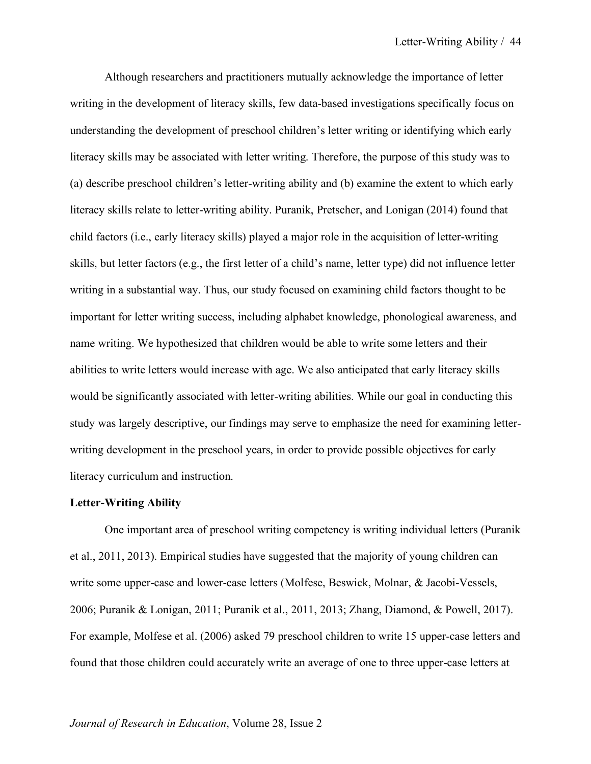Although researchers and practitioners mutually acknowledge the importance of letter writing in the development of literacy skills, few data-based investigations specifically focus on understanding the development of preschool children's letter writing or identifying which early literacy skills may be associated with letter writing. Therefore, the purpose of this study was to (a) describe preschool children's letter-writing ability and (b) examine the extent to which early literacy skills relate to letter-writing ability. Puranik, Pretscher, and Lonigan (2014) found that child factors (i.e., early literacy skills) played a major role in the acquisition of letter-writing skills, but letter factors (e.g., the first letter of a child's name, letter type) did not influence letter writing in a substantial way. Thus, our study focused on examining child factors thought to be important for letter writing success, including alphabet knowledge, phonological awareness, and name writing. We hypothesized that children would be able to write some letters and their abilities to write letters would increase with age. We also anticipated that early literacy skills would be significantly associated with letter-writing abilities. While our goal in conducting this study was largely descriptive, our findings may serve to emphasize the need for examining letterwriting development in the preschool years, in order to provide possible objectives for early literacy curriculum and instruction.

## **Letter-Writing Ability**

One important area of preschool writing competency is writing individual letters (Puranik et al., 2011, 2013). Empirical studies have suggested that the majority of young children can write some upper-case and lower-case letters (Molfese, Beswick, Molnar, & Jacobi-Vessels, 2006; Puranik & Lonigan, 2011; Puranik et al., 2011, 2013; Zhang, Diamond, & Powell, 2017). For example, Molfese et al. (2006) asked 79 preschool children to write 15 upper-case letters and found that those children could accurately write an average of one to three upper-case letters at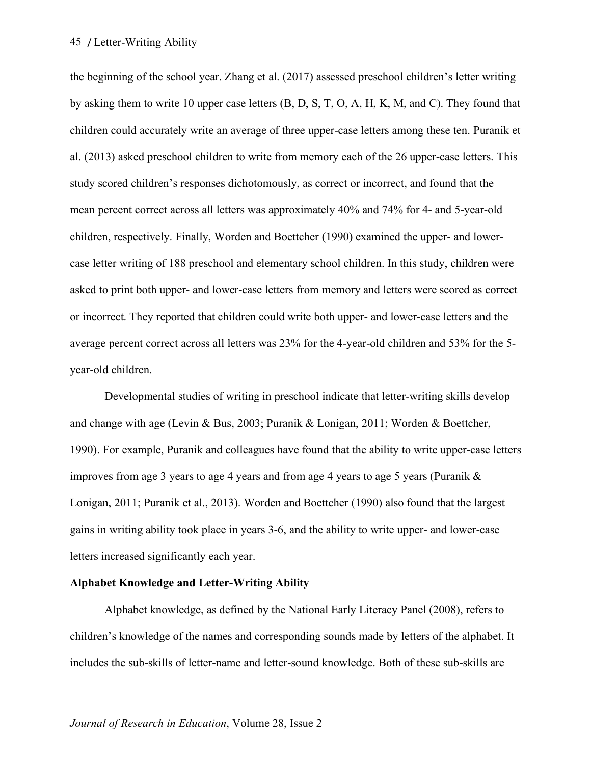the beginning of the school year. Zhang et al. (2017) assessed preschool children's letter writing by asking them to write 10 upper case letters (B, D, S, T, O, A, H, K, M, and C). They found that children could accurately write an average of three upper-case letters among these ten. Puranik et al. (2013) asked preschool children to write from memory each of the 26 upper-case letters. This study scored children's responses dichotomously, as correct or incorrect, and found that the mean percent correct across all letters was approximately 40% and 74% for 4- and 5-year-old children, respectively. Finally, Worden and Boettcher (1990) examined the upper- and lowercase letter writing of 188 preschool and elementary school children. In this study, children were asked to print both upper- and lower-case letters from memory and letters were scored as correct or incorrect. They reported that children could write both upper- and lower-case letters and the average percent correct across all letters was 23% for the 4-year-old children and 53% for the 5 year-old children.

Developmental studies of writing in preschool indicate that letter-writing skills develop and change with age (Levin & Bus, 2003; Puranik & Lonigan, 2011; Worden & Boettcher, 1990). For example, Puranik and colleagues have found that the ability to write upper-case letters improves from age 3 years to age 4 years and from age 4 years to age 5 years (Puranik  $\&$ Lonigan, 2011; Puranik et al., 2013). Worden and Boettcher (1990) also found that the largest gains in writing ability took place in years 3-6, and the ability to write upper- and lower-case letters increased significantly each year.

## **Alphabet Knowledge and Letter-Writing Ability**

Alphabet knowledge, as defined by the National Early Literacy Panel (2008), refers to children's knowledge of the names and corresponding sounds made by letters of the alphabet. It includes the sub-skills of letter-name and letter-sound knowledge. Both of these sub-skills are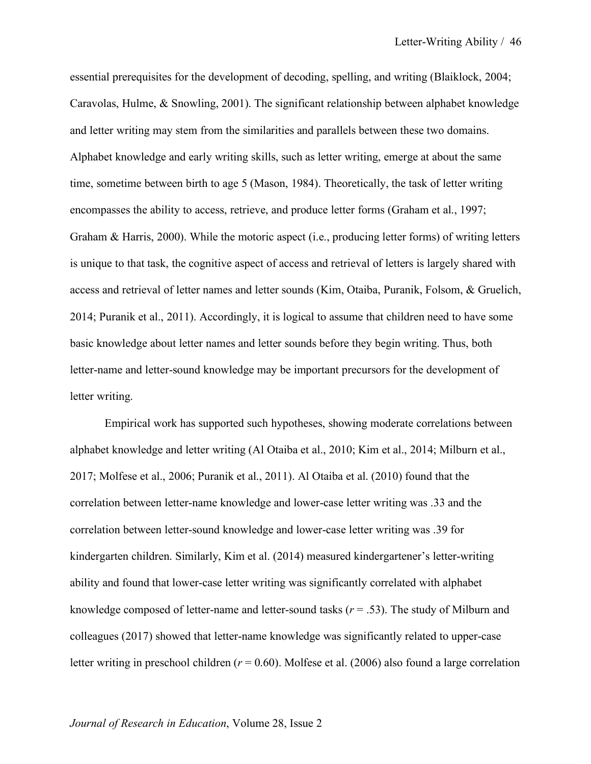essential prerequisites for the development of decoding, spelling, and writing (Blaiklock, 2004; Caravolas, Hulme, & Snowling, 2001). The significant relationship between alphabet knowledge and letter writing may stem from the similarities and parallels between these two domains. Alphabet knowledge and early writing skills, such as letter writing, emerge at about the same time, sometime between birth to age 5 (Mason, 1984). Theoretically, the task of letter writing encompasses the ability to access, retrieve, and produce letter forms (Graham et al., 1997; Graham & Harris, 2000). While the motoric aspect (i.e., producing letter forms) of writing letters is unique to that task, the cognitive aspect of access and retrieval of letters is largely shared with access and retrieval of letter names and letter sounds (Kim, Otaiba, Puranik, Folsom, & Gruelich, 2014; Puranik et al., 2011). Accordingly, it is logical to assume that children need to have some basic knowledge about letter names and letter sounds before they begin writing. Thus, both letter-name and letter-sound knowledge may be important precursors for the development of letter writing.

Empirical work has supported such hypotheses, showing moderate correlations between alphabet knowledge and letter writing (Al Otaiba et al., 2010; Kim et al., 2014; Milburn et al., 2017; Molfese et al., 2006; Puranik et al., 2011). Al Otaiba et al. (2010) found that the correlation between letter-name knowledge and lower-case letter writing was .33 and the correlation between letter-sound knowledge and lower-case letter writing was .39 for kindergarten children. Similarly, Kim et al. (2014) measured kindergartener's letter-writing ability and found that lower-case letter writing was significantly correlated with alphabet knowledge composed of letter-name and letter-sound tasks  $(r = .53)$ . The study of Milburn and colleagues (2017) showed that letter-name knowledge was significantly related to upper-case letter writing in preschool children (*r* = 0.60). Molfese et al. (2006) also found a large correlation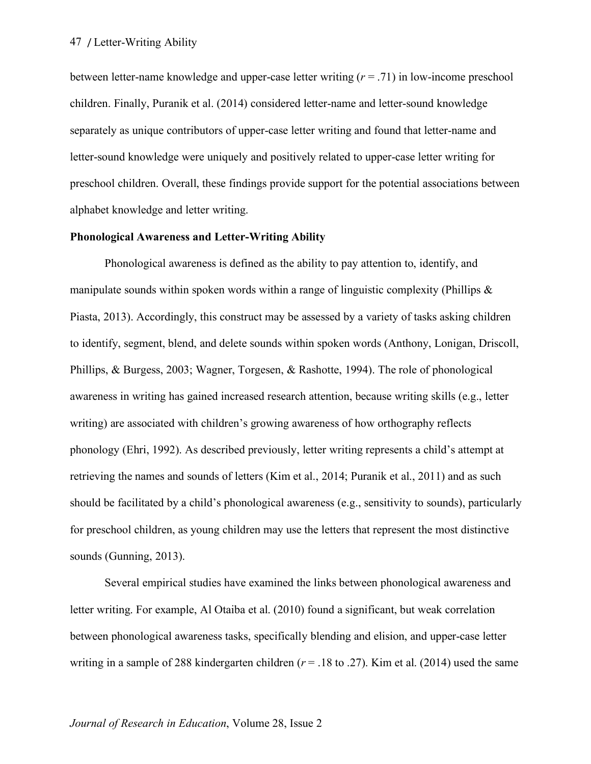between letter-name knowledge and upper-case letter writing (*r* = .71) in low-income preschool children. Finally, Puranik et al. (2014) considered letter-name and letter-sound knowledge separately as unique contributors of upper-case letter writing and found that letter-name and letter-sound knowledge were uniquely and positively related to upper-case letter writing for preschool children. Overall, these findings provide support for the potential associations between alphabet knowledge and letter writing.

## **Phonological Awareness and Letter-Writing Ability**

Phonological awareness is defined as the ability to pay attention to, identify, and manipulate sounds within spoken words within a range of linguistic complexity (Phillips  $\&$ Piasta, 2013). Accordingly, this construct may be assessed by a variety of tasks asking children to identify, segment, blend, and delete sounds within spoken words (Anthony, Lonigan, Driscoll, Phillips, & Burgess, 2003; Wagner, Torgesen, & Rashotte, 1994). The role of phonological awareness in writing has gained increased research attention, because writing skills (e.g., letter writing) are associated with children's growing awareness of how orthography reflects phonology (Ehri, 1992). As described previously, letter writing represents a child's attempt at retrieving the names and sounds of letters (Kim et al., 2014; Puranik et al., 2011) and as such should be facilitated by a child's phonological awareness (e.g., sensitivity to sounds), particularly for preschool children, as young children may use the letters that represent the most distinctive sounds (Gunning, 2013).

Several empirical studies have examined the links between phonological awareness and letter writing. For example, Al Otaiba et al. (2010) found a significant, but weak correlation between phonological awareness tasks, specifically blending and elision, and upper-case letter writing in a sample of 288 kindergarten children ( $r = .18$  to .27). Kim et al. (2014) used the same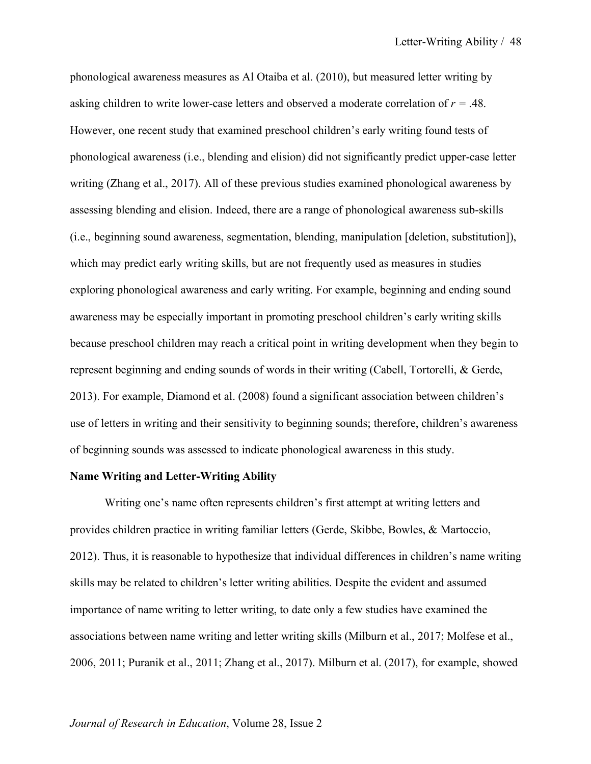phonological awareness measures as Al Otaiba et al. (2010), but measured letter writing by asking children to write lower-case letters and observed a moderate correlation of *r =* .48. However, one recent study that examined preschool children's early writing found tests of phonological awareness (i.e., blending and elision) did not significantly predict upper-case letter writing (Zhang et al., 2017). All of these previous studies examined phonological awareness by assessing blending and elision. Indeed, there are a range of phonological awareness sub-skills (i.e., beginning sound awareness, segmentation, blending, manipulation [deletion, substitution]), which may predict early writing skills, but are not frequently used as measures in studies exploring phonological awareness and early writing. For example, beginning and ending sound awareness may be especially important in promoting preschool children's early writing skills because preschool children may reach a critical point in writing development when they begin to represent beginning and ending sounds of words in their writing (Cabell, Tortorelli, & Gerde, 2013). For example, Diamond et al. (2008) found a significant association between children's use of letters in writing and their sensitivity to beginning sounds; therefore, children's awareness of beginning sounds was assessed to indicate phonological awareness in this study.

## **Name Writing and Letter-Writing Ability**

Writing one's name often represents children's first attempt at writing letters and provides children practice in writing familiar letters (Gerde, Skibbe, Bowles, & Martoccio, 2012). Thus, it is reasonable to hypothesize that individual differences in children's name writing skills may be related to children's letter writing abilities. Despite the evident and assumed importance of name writing to letter writing, to date only a few studies have examined the associations between name writing and letter writing skills (Milburn et al., 2017; Molfese et al., 2006, 2011; Puranik et al., 2011; Zhang et al., 2017). Milburn et al. (2017), for example, showed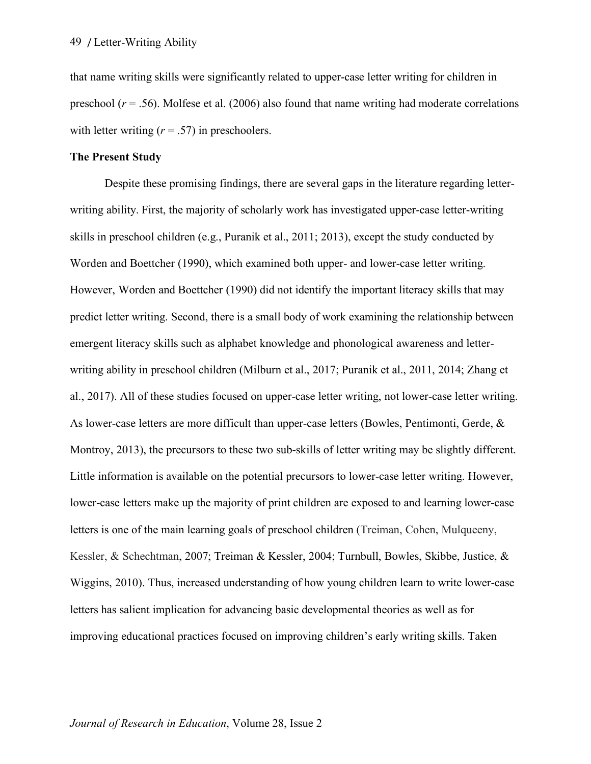that name writing skills were significantly related to upper-case letter writing for children in preschool  $(r = .56)$ . Molfese et al. (2006) also found that name writing had moderate correlations with letter writing  $(r = .57)$  in preschoolers.

## **The Present Study**

Despite these promising findings, there are several gaps in the literature regarding letterwriting ability. First, the majority of scholarly work has investigated upper-case letter-writing skills in preschool children (e.g., Puranik et al., 2011; 2013), except the study conducted by Worden and Boettcher (1990), which examined both upper- and lower-case letter writing. However, Worden and Boettcher (1990) did not identify the important literacy skills that may predict letter writing. Second, there is a small body of work examining the relationship between emergent literacy skills such as alphabet knowledge and phonological awareness and letterwriting ability in preschool children (Milburn et al., 2017; Puranik et al., 2011, 2014; Zhang et al., 2017). All of these studies focused on upper-case letter writing, not lower-case letter writing. As lower-case letters are more difficult than upper-case letters (Bowles, Pentimonti, Gerde, & Montroy, 2013), the precursors to these two sub-skills of letter writing may be slightly different. Little information is available on the potential precursors to lower-case letter writing. However, lower-case letters make up the majority of print children are exposed to and learning lower-case letters is one of the main learning goals of preschool children (Treiman, Cohen, Mulqueeny, Kessler, & Schechtman, 2007; Treiman & Kessler, 2004; Turnbull, Bowles, Skibbe, Justice, & Wiggins, 2010). Thus, increased understanding of how young children learn to write lower-case letters has salient implication for advancing basic developmental theories as well as for improving educational practices focused on improving children's early writing skills. Taken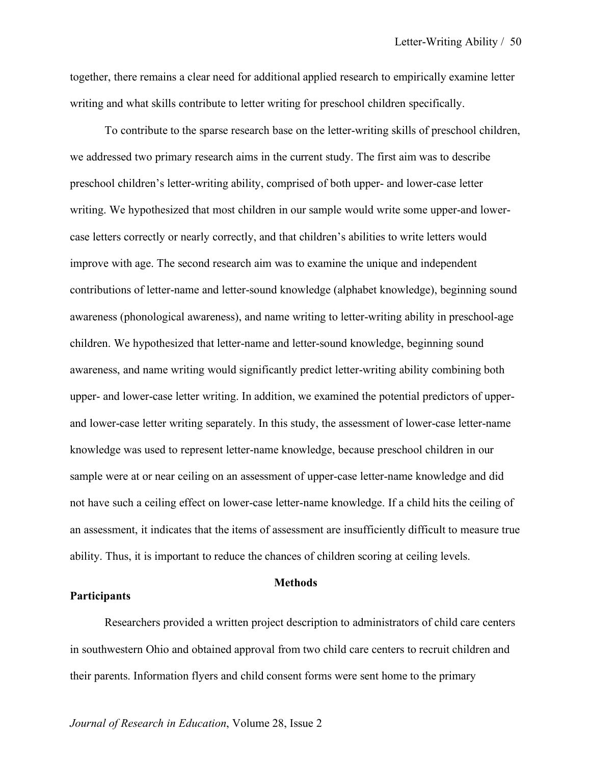together, there remains a clear need for additional applied research to empirically examine letter writing and what skills contribute to letter writing for preschool children specifically.

To contribute to the sparse research base on the letter-writing skills of preschool children, we addressed two primary research aims in the current study. The first aim was to describe preschool children's letter-writing ability, comprised of both upper- and lower-case letter writing. We hypothesized that most children in our sample would write some upper-and lowercase letters correctly or nearly correctly, and that children's abilities to write letters would improve with age. The second research aim was to examine the unique and independent contributions of letter-name and letter-sound knowledge (alphabet knowledge), beginning sound awareness (phonological awareness), and name writing to letter-writing ability in preschool-age children. We hypothesized that letter-name and letter-sound knowledge, beginning sound awareness, and name writing would significantly predict letter-writing ability combining both upper- and lower-case letter writing. In addition, we examined the potential predictors of upperand lower-case letter writing separately. In this study, the assessment of lower-case letter-name knowledge was used to represent letter-name knowledge, because preschool children in our sample were at or near ceiling on an assessment of upper-case letter-name knowledge and did not have such a ceiling effect on lower-case letter-name knowledge. If a child hits the ceiling of an assessment, it indicates that the items of assessment are insufficiently difficult to measure true ability. Thus, it is important to reduce the chances of children scoring at ceiling levels.

## **Methods**

## **Participants**

Researchers provided a written project description to administrators of child care centers in southwestern Ohio and obtained approval from two child care centers to recruit children and their parents. Information flyers and child consent forms were sent home to the primary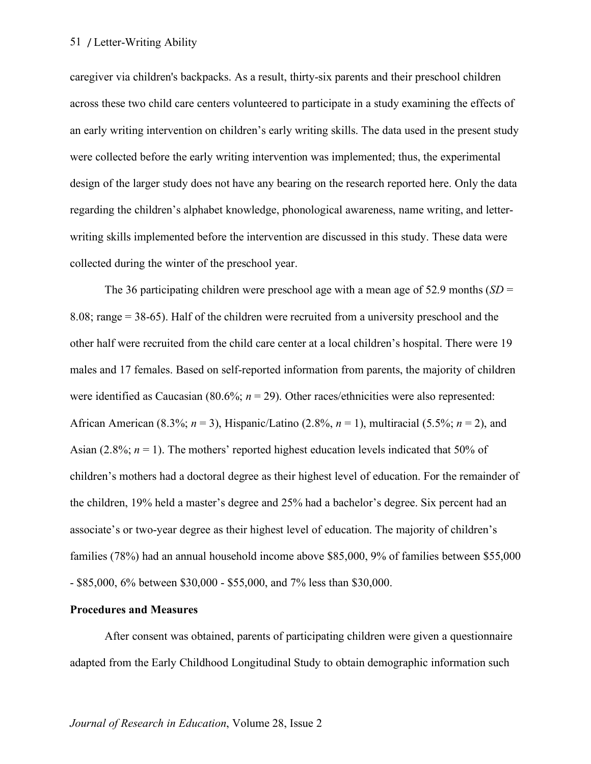caregiver via children's backpacks. As a result, thirty-six parents and their preschool children across these two child care centers volunteered to participate in a study examining the effects of an early writing intervention on children's early writing skills. The data used in the present study were collected before the early writing intervention was implemented; thus, the experimental design of the larger study does not have any bearing on the research reported here. Only the data regarding the children's alphabet knowledge, phonological awareness, name writing, and letterwriting skills implemented before the intervention are discussed in this study. These data were collected during the winter of the preschool year.

The 36 participating children were preschool age with a mean age of 52.9 months (*SD* = 8.08; range = 38-65). Half of the children were recruited from a university preschool and the other half were recruited from the child care center at a local children's hospital. There were 19 males and 17 females. Based on self-reported information from parents, the majority of children were identified as Caucasian (80.6%;  $n = 29$ ). Other races/ethnicities were also represented: African American (8.3%; *n* = 3), Hispanic/Latino (2.8%, *n* = 1), multiracial (5.5%; *n* = 2), and Asian (2.8%;  $n = 1$ ). The mothers' reported highest education levels indicated that 50% of children's mothers had a doctoral degree as their highest level of education. For the remainder of the children, 19% held a master's degree and 25% had a bachelor's degree. Six percent had an associate's or two-year degree as their highest level of education. The majority of children's families (78%) had an annual household income above \$85,000, 9% of families between \$55,000 - \$85,000, 6% between \$30,000 - \$55,000, and 7% less than \$30,000.

## **Procedures and Measures**

After consent was obtained, parents of participating children were given a questionnaire adapted from the Early Childhood Longitudinal Study to obtain demographic information such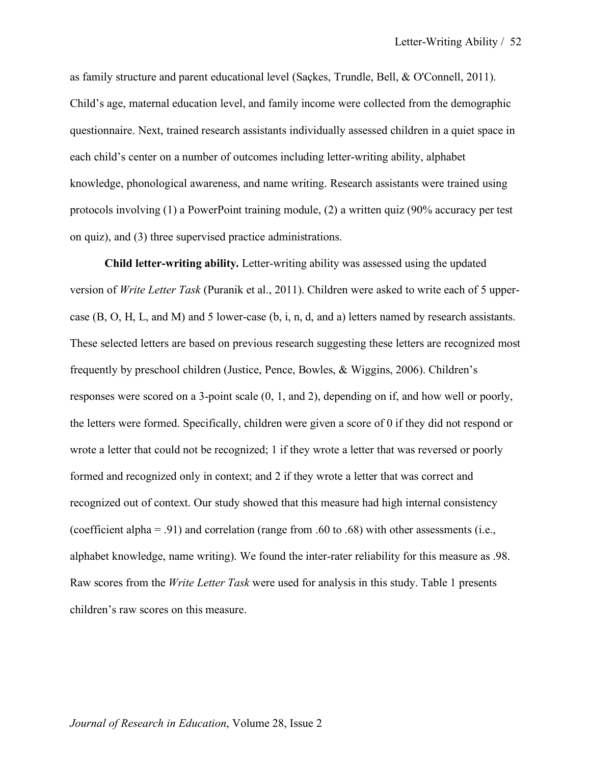as family structure and parent educational level (Saçkes, Trundle, Bell, & O'Connell, 2011). Child's age, maternal education level, and family income were collected from the demographic questionnaire. Next, trained research assistants individually assessed children in a quiet space in each child's center on a number of outcomes including letter-writing ability, alphabet knowledge, phonological awareness, and name writing. Research assistants were trained using protocols involving (1) a PowerPoint training module, (2) a written quiz (90% accuracy per test on quiz), and (3) three supervised practice administrations.

**Child letter-writing ability.** Letter-writing ability was assessed using the updated version of *Write Letter Task* (Puranik et al., 2011). Children were asked to write each of 5 uppercase (B, O, H, L, and M) and 5 lower-case (b, i, n, d, and a) letters named by research assistants. These selected letters are based on previous research suggesting these letters are recognized most frequently by preschool children (Justice, Pence, Bowles, & Wiggins, 2006). Children's responses were scored on a 3-point scale (0, 1, and 2), depending on if, and how well or poorly, the letters were formed. Specifically, children were given a score of 0 if they did not respond or wrote a letter that could not be recognized; 1 if they wrote a letter that was reversed or poorly formed and recognized only in context; and 2 if they wrote a letter that was correct and recognized out of context. Our study showed that this measure had high internal consistency (coefficient alpha = .91) and correlation (range from .60 to .68) with other assessments (i.e., alphabet knowledge, name writing). We found the inter-rater reliability for this measure as .98. Raw scores from the *Write Letter Task* were used for analysis in this study. Table 1 presents children's raw scores on this measure.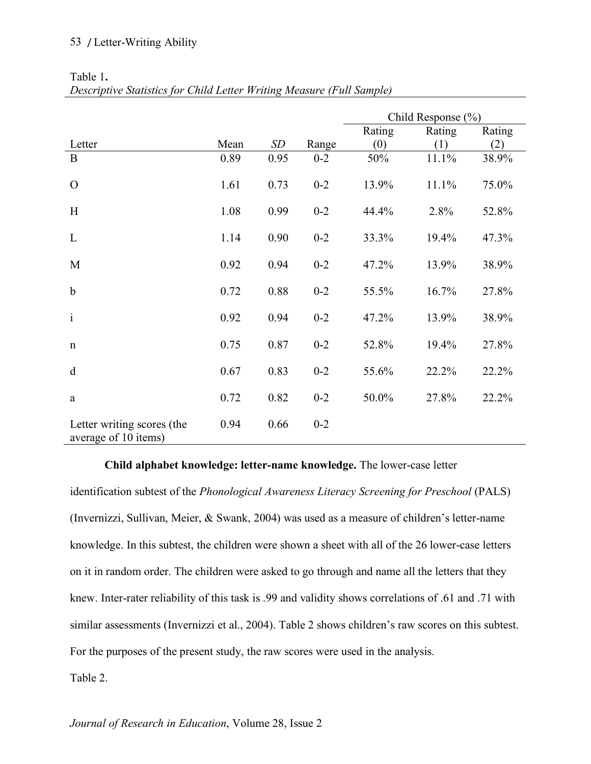|                                                    |      |      |         | Child Response $(\% )$ |        |        |
|----------------------------------------------------|------|------|---------|------------------------|--------|--------|
|                                                    |      |      |         | Rating                 | Rating | Rating |
| Letter                                             | Mean | SD   | Range   | (0)                    | (1)    | (2)    |
| B                                                  | 0.89 | 0.95 | $0 - 2$ | 50%                    | 11.1%  | 38.9%  |
| $\Omega$                                           | 1.61 | 0.73 | $0 - 2$ | 13.9%                  | 11.1%  | 75.0%  |
| H                                                  | 1.08 | 0.99 | $0 - 2$ | 44.4%                  | 2.8%   | 52.8%  |
| L                                                  | 1.14 | 0.90 | $0 - 2$ | 33.3%                  | 19.4%  | 47.3%  |
| M                                                  | 0.92 | 0.94 | $0 - 2$ | 47.2%                  | 13.9%  | 38.9%  |
| $\mathbf b$                                        | 0.72 | 0.88 | $0 - 2$ | 55.5%                  | 16.7%  | 27.8%  |
| $\mathbf{i}$                                       | 0.92 | 0.94 | $0 - 2$ | 47.2%                  | 13.9%  | 38.9%  |
| $\mathbf n$                                        | 0.75 | 0.87 | $0 - 2$ | 52.8%                  | 19.4%  | 27.8%  |
| $\mathbf d$                                        | 0.67 | 0.83 | $0 - 2$ | 55.6%                  | 22.2%  | 22.2%  |
| $\rm{a}$                                           | 0.72 | 0.82 | $0 - 2$ | 50.0%                  | 27.8%  | 22.2%  |
| Letter writing scores (the<br>average of 10 items) | 0.94 | 0.66 | $0 - 2$ |                        |        |        |

Table 1**.**  *Descriptive Statistics for Child Letter Writing Measure (Full Sample)*

## **Child alphabet knowledge: letter-name knowledge.** The lower-case letter

identification subtest of the *Phonological Awareness Literacy Screening for Preschool* (PALS) (Invernizzi, Sullivan, Meier, & Swank, 2004) was used as a measure of children's letter-name knowledge. In this subtest, the children were shown a sheet with all of the 26 lower-case letters on it in random order. The children were asked to go through and name all the letters that they knew. Inter-rater reliability of this task is .99 and validity shows correlations of .61 and .71 with similar assessments (Invernizzi et al., 2004). Table 2 shows children's raw scores on this subtest. For the purposes of the present study, the raw scores were used in the analysis.

*Journal of Research in Education*, Volume 28, Issue 2

Table 2.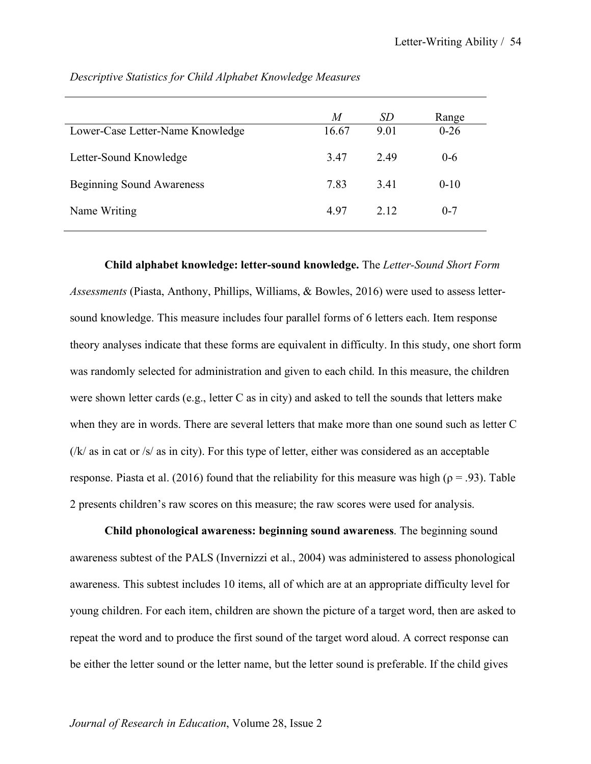| M<br>16.67 | SD<br>9.01 | Range<br>$0-26$ |
|------------|------------|-----------------|
| 3.47       | 249        | $0 - 6$         |
| 7.83       | 341        | $0 - 10$        |
| 4.97       | 2.12       | $0 - 7$         |
|            |            |                 |

*Descriptive Statistics for Child Alphabet Knowledge Measures*

**Child alphabet knowledge: letter-sound knowledge.** The *Letter-Sound Short Form Assessments* (Piasta, Anthony, Phillips, Williams, & Bowles, 2016) were used to assess lettersound knowledge. This measure includes four parallel forms of 6 letters each. Item response theory analyses indicate that these forms are equivalent in difficulty. In this study, one short form was randomly selected for administration and given to each child. In this measure, the children were shown letter cards (e.g., letter C as in city) and asked to tell the sounds that letters make when they are in words. There are several letters that make more than one sound such as letter C  $(|k|$  as in cat or  $|s|$  as in city). For this type of letter, either was considered as an acceptable response. Piasta et al. (2016) found that the reliability for this measure was high ( $\rho = .93$ ). Table 2 presents children's raw scores on this measure; the raw scores were used for analysis.

**Child phonological awareness: beginning sound awareness**. The beginning sound awareness subtest of the PALS (Invernizzi et al., 2004) was administered to assess phonological awareness. This subtest includes 10 items, all of which are at an appropriate difficulty level for young children. For each item, children are shown the picture of a target word, then are asked to repeat the word and to produce the first sound of the target word aloud. A correct response can be either the letter sound or the letter name, but the letter sound is preferable. If the child gives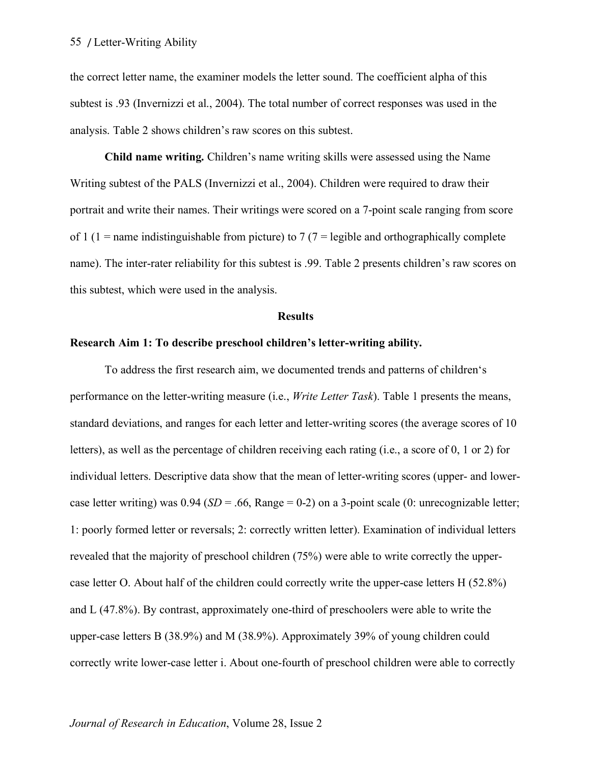the correct letter name, the examiner models the letter sound. The coefficient alpha of this subtest is .93 (Invernizzi et al., 2004). The total number of correct responses was used in the analysis. Table 2 shows children's raw scores on this subtest.

**Child name writing.** Children's name writing skills were assessed using the Name Writing subtest of the PALS (Invernizzi et al., 2004). Children were required to draw their portrait and write their names. Their writings were scored on a 7-point scale ranging from score of 1 (1 = name indistinguishable from picture) to 7 (7 = legible and orthographically complete name). The inter-rater reliability for this subtest is .99. Table 2 presents children's raw scores on this subtest, which were used in the analysis.

#### **Results**

## **Research Aim 1: To describe preschool children's letter-writing ability.**

To address the first research aim, we documented trends and patterns of children's performance on the letter-writing measure (i.e., *Write Letter Task*). Table 1 presents the means, standard deviations, and ranges for each letter and letter-writing scores (the average scores of 10 letters), as well as the percentage of children receiving each rating (i.e., a score of 0, 1 or 2) for individual letters. Descriptive data show that the mean of letter-writing scores (upper- and lowercase letter writing) was 0.94 (*SD* = .66, Range = 0-2) on a 3-point scale (0: unrecognizable letter; 1: poorly formed letter or reversals; 2: correctly written letter). Examination of individual letters revealed that the majority of preschool children (75%) were able to write correctly the uppercase letter O. About half of the children could correctly write the upper-case letters H (52.8%) and L (47.8%). By contrast, approximately one-third of preschoolers were able to write the upper-case letters B (38.9%) and M (38.9%). Approximately 39% of young children could correctly write lower-case letter i. About one-fourth of preschool children were able to correctly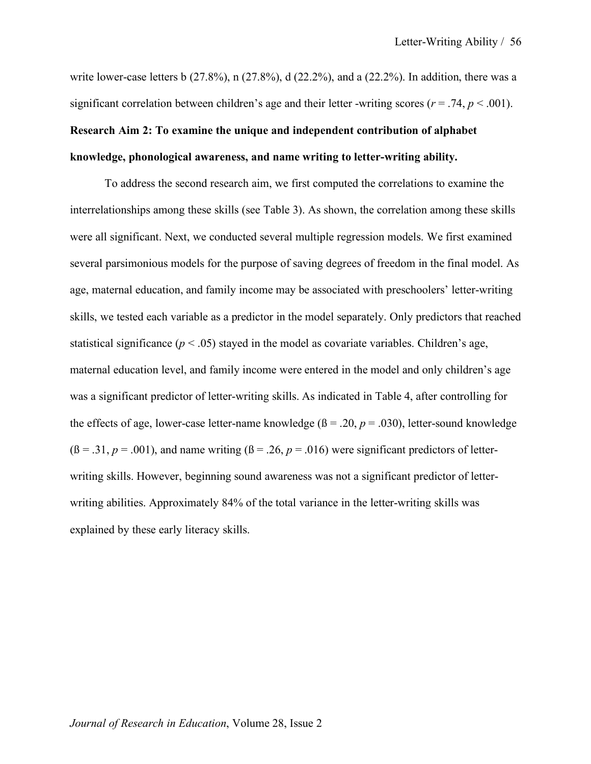write lower-case letters b (27.8%), n (27.8%), d (22.2%), and a (22.2%). In addition, there was a significant correlation between children's age and their letter -writing scores ( $r = .74$ ,  $p < .001$ ). **Research Aim 2: To examine the unique and independent contribution of alphabet knowledge, phonological awareness, and name writing to letter-writing ability.**

To address the second research aim, we first computed the correlations to examine the interrelationships among these skills (see Table 3). As shown, the correlation among these skills were all significant. Next, we conducted several multiple regression models. We first examined several parsimonious models for the purpose of saving degrees of freedom in the final model. As age, maternal education, and family income may be associated with preschoolers' letter-writing skills, we tested each variable as a predictor in the model separately. Only predictors that reached statistical significance  $(p < .05)$  stayed in the model as covariate variables. Children's age, maternal education level, and family income were entered in the model and only children's age was a significant predictor of letter-writing skills. As indicated in Table 4, after controlling for the effects of age, lower-case letter-name knowledge  $(β = .20, p = .030)$ , letter-sound knowledge  $(6 = .31, p = .001)$ , and name writing  $(6 = .26, p = .016)$  were significant predictors of letterwriting skills. However, beginning sound awareness was not a significant predictor of letterwriting abilities. Approximately 84% of the total variance in the letter-writing skills was explained by these early literacy skills.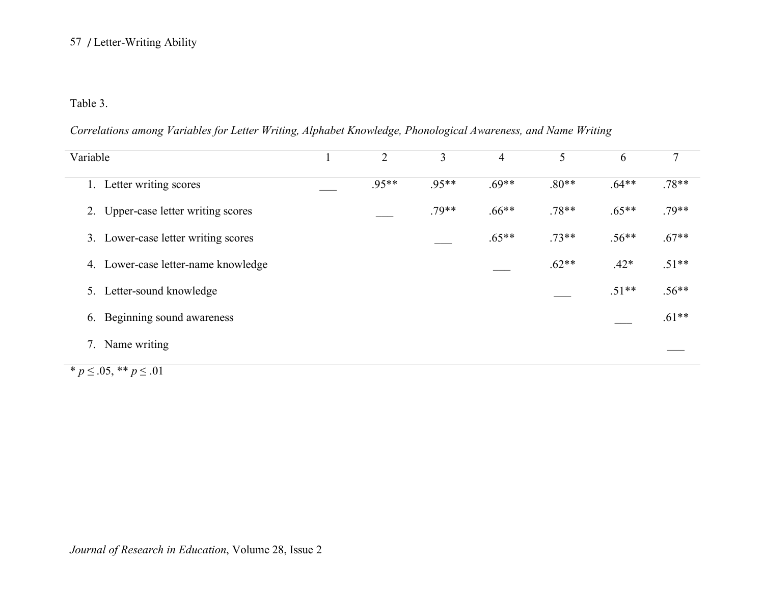## Table 3.

*Correlations among Variables for Letter Writing, Alphabet Knowledge, Phonological Awareness, and Name Writing*

| Variable                                      | 2     | 3       | 4       | 5       | 6       |         |
|-----------------------------------------------|-------|---------|---------|---------|---------|---------|
| Letter writing scores<br>$\mathbf{I}_{\star}$ | .95** | $.95**$ | $.69**$ | $.80**$ | $.64**$ | $.78**$ |
| Upper-case letter writing scores<br>2.        |       | $.79**$ | $.66**$ | $.78**$ | $.65**$ | $.79**$ |
| Lower-case letter writing scores<br>3.        |       |         | $.65**$ | $.73**$ | $.56**$ | $.67**$ |
| 4. Lower-case letter-name knowledge           |       |         |         | $.62**$ | $.42*$  | $.51**$ |
| Letter-sound knowledge<br>5.                  |       |         |         |         | $.51**$ | $.56**$ |
| Beginning sound awareness<br>6.               |       |         |         |         |         | $.61**$ |
| Name writing<br>7.                            |       |         |         |         |         |         |

 $\overline{\ast p} \leq .05, \overline{\ast} \overline{\ast p} \leq .01$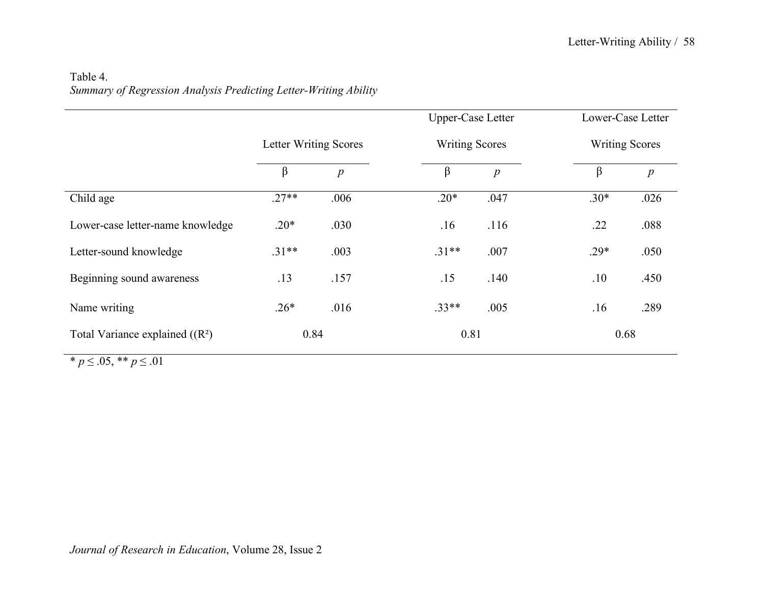# Table 4. *Summary of Regression Analysis Predicting Letter-Writing Ability*

|                                  |                              |                  | <b>Upper-Case Letter</b> |                  | Lower-Case Letter     |                  |
|----------------------------------|------------------------------|------------------|--------------------------|------------------|-----------------------|------------------|
|                                  | <b>Letter Writing Scores</b> |                  | <b>Writing Scores</b>    |                  | <b>Writing Scores</b> |                  |
|                                  | $\beta$                      | $\boldsymbol{p}$ | $\beta$                  | $\boldsymbol{p}$ | $\beta$               | $\boldsymbol{p}$ |
| Child age                        | $.27**$                      | .006             | $.20*$                   | .047             | $.30*$                | .026             |
| Lower-case letter-name knowledge | $.20*$                       | .030             | .16                      | .116             | .22                   | .088             |
| Letter-sound knowledge           | $.31**$                      | .003             | $.31**$                  | .007             | $.29*$                | .050             |
| Beginning sound awareness        | .13                          | .157             | .15                      | .140             | .10                   | .450             |
| Name writing                     | $.26*$                       | .016             | $.33**$                  | .005             | .16                   | .289             |
| Total Variance explained $((R2)$ | 0.84                         |                  | 0.81                     |                  | 0.68                  |                  |

 $\overline{\quad}$  *\* p*  $\leq$  .05, \*\* *p*  $\leq$  .01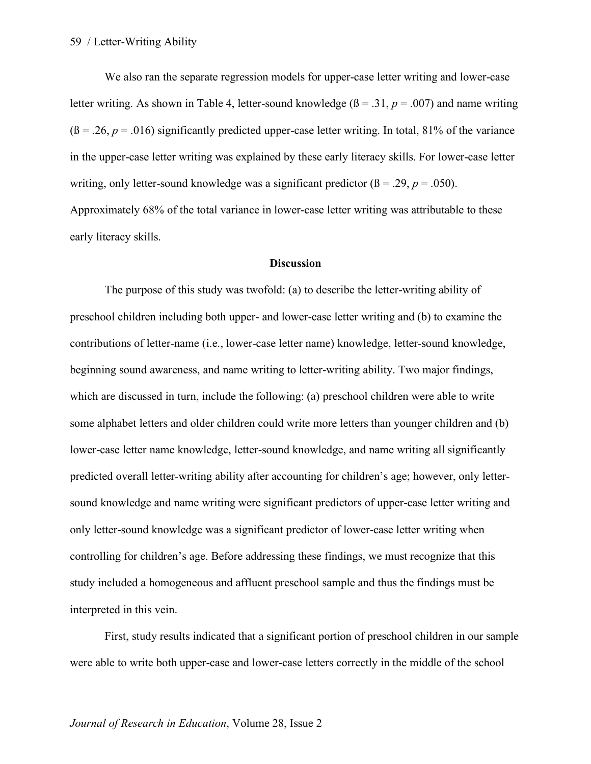We also ran the separate regression models for upper-case letter writing and lower-case letter writing. As shown in Table 4, letter-sound knowledge  $(β = .31, p = .007)$  and name writing  $(6 = 0.26, p = 0.016)$  significantly predicted upper-case letter writing. In total, 81% of the variance in the upper-case letter writing was explained by these early literacy skills. For lower-case letter writing, only letter-sound knowledge was a significant predictor  $(\beta = .29, p = .050)$ . Approximately 68% of the total variance in lower-case letter writing was attributable to these

early literacy skills.

#### **Discussion**

The purpose of this study was twofold: (a) to describe the letter-writing ability of preschool children including both upper- and lower-case letter writing and (b) to examine the contributions of letter-name (i.e., lower-case letter name) knowledge, letter-sound knowledge, beginning sound awareness, and name writing to letter-writing ability. Two major findings, which are discussed in turn, include the following: (a) preschool children were able to write some alphabet letters and older children could write more letters than younger children and (b) lower-case letter name knowledge, letter-sound knowledge, and name writing all significantly predicted overall letter-writing ability after accounting for children's age; however, only lettersound knowledge and name writing were significant predictors of upper-case letter writing and only letter-sound knowledge was a significant predictor of lower-case letter writing when controlling for children's age. Before addressing these findings, we must recognize that this study included a homogeneous and affluent preschool sample and thus the findings must be interpreted in this vein.

First, study results indicated that a significant portion of preschool children in our sample were able to write both upper-case and lower-case letters correctly in the middle of the school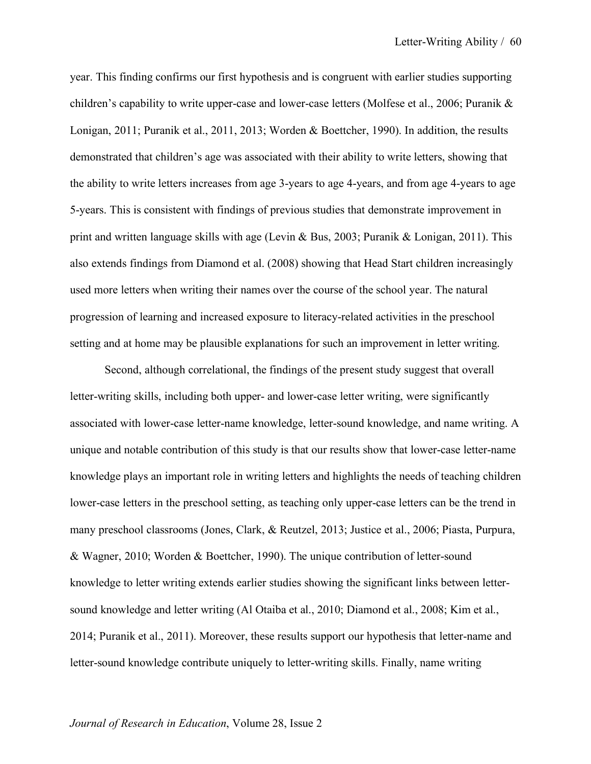year. This finding confirms our first hypothesis and is congruent with earlier studies supporting children's capability to write upper-case and lower-case letters (Molfese et al., 2006; Puranik & Lonigan, 2011; Puranik et al., 2011, 2013; Worden & Boettcher, 1990). In addition, the results demonstrated that children's age was associated with their ability to write letters, showing that the ability to write letters increases from age 3-years to age 4-years, and from age 4-years to age 5-years. This is consistent with findings of previous studies that demonstrate improvement in print and written language skills with age (Levin & Bus, 2003; Puranik & Lonigan, 2011). This also extends findings from Diamond et al. (2008) showing that Head Start children increasingly used more letters when writing their names over the course of the school year. The natural progression of learning and increased exposure to literacy-related activities in the preschool setting and at home may be plausible explanations for such an improvement in letter writing.

Second, although correlational, the findings of the present study suggest that overall letter-writing skills, including both upper- and lower-case letter writing, were significantly associated with lower-case letter-name knowledge, letter-sound knowledge, and name writing. A unique and notable contribution of this study is that our results show that lower-case letter-name knowledge plays an important role in writing letters and highlights the needs of teaching children lower-case letters in the preschool setting, as teaching only upper-case letters can be the trend in many preschool classrooms (Jones, Clark, & Reutzel, 2013; Justice et al., 2006; Piasta, Purpura, & Wagner, 2010; Worden & Boettcher, 1990). The unique contribution of letter-sound knowledge to letter writing extends earlier studies showing the significant links between lettersound knowledge and letter writing (Al Otaiba et al., 2010; Diamond et al., 2008; Kim et al., 2014; Puranik et al., 2011). Moreover, these results support our hypothesis that letter-name and letter-sound knowledge contribute uniquely to letter-writing skills. Finally, name writing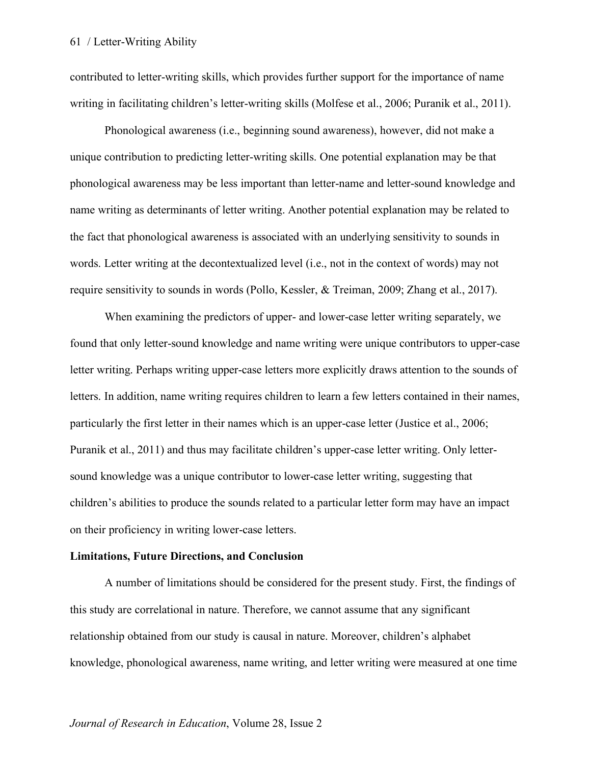contributed to letter-writing skills, which provides further support for the importance of name writing in facilitating children's letter-writing skills (Molfese et al., 2006; Puranik et al., 2011).

Phonological awareness (i.e., beginning sound awareness), however, did not make a unique contribution to predicting letter-writing skills. One potential explanation may be that phonological awareness may be less important than letter-name and letter-sound knowledge and name writing as determinants of letter writing. Another potential explanation may be related to the fact that phonological awareness is associated with an underlying sensitivity to sounds in words. Letter writing at the decontextualized level (i.e., not in the context of words) may not require sensitivity to sounds in words (Pollo, Kessler, & Treiman, 2009; Zhang et al., 2017).

When examining the predictors of upper- and lower-case letter writing separately, we found that only letter-sound knowledge and name writing were unique contributors to upper-case letter writing. Perhaps writing upper-case letters more explicitly draws attention to the sounds of letters. In addition, name writing requires children to learn a few letters contained in their names, particularly the first letter in their names which is an upper-case letter (Justice et al., 2006; Puranik et al., 2011) and thus may facilitate children's upper-case letter writing. Only lettersound knowledge was a unique contributor to lower-case letter writing, suggesting that children's abilities to produce the sounds related to a particular letter form may have an impact on their proficiency in writing lower-case letters.

## **Limitations, Future Directions, and Conclusion**

A number of limitations should be considered for the present study. First, the findings of this study are correlational in nature. Therefore, we cannot assume that any significant relationship obtained from our study is causal in nature. Moreover, children's alphabet knowledge, phonological awareness, name writing, and letter writing were measured at one time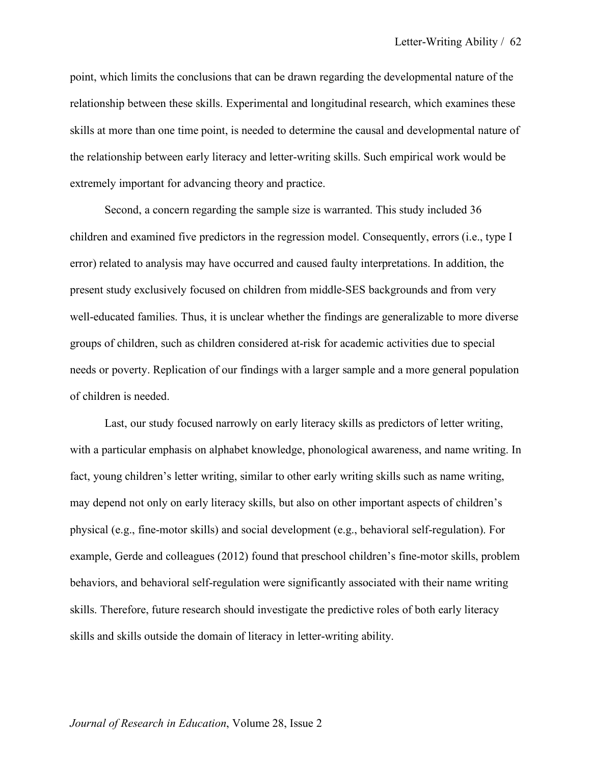point, which limits the conclusions that can be drawn regarding the developmental nature of the relationship between these skills. Experimental and longitudinal research, which examines these skills at more than one time point, is needed to determine the causal and developmental nature of the relationship between early literacy and letter-writing skills. Such empirical work would be extremely important for advancing theory and practice.

Second, a concern regarding the sample size is warranted. This study included 36 children and examined five predictors in the regression model. Consequently, errors (i.e., type I error) related to analysis may have occurred and caused faulty interpretations. In addition, the present study exclusively focused on children from middle-SES backgrounds and from very well-educated families. Thus, it is unclear whether the findings are generalizable to more diverse groups of children, such as children considered at-risk for academic activities due to special needs or poverty. Replication of our findings with a larger sample and a more general population of children is needed.

Last, our study focused narrowly on early literacy skills as predictors of letter writing, with a particular emphasis on alphabet knowledge, phonological awareness, and name writing. In fact, young children's letter writing, similar to other early writing skills such as name writing, may depend not only on early literacy skills, but also on other important aspects of children's physical (e.g., fine-motor skills) and social development (e.g., behavioral self-regulation). For example, Gerde and colleagues (2012) found that preschool children's fine-motor skills, problem behaviors, and behavioral self-regulation were significantly associated with their name writing skills. Therefore, future research should investigate the predictive roles of both early literacy skills and skills outside the domain of literacy in letter-writing ability.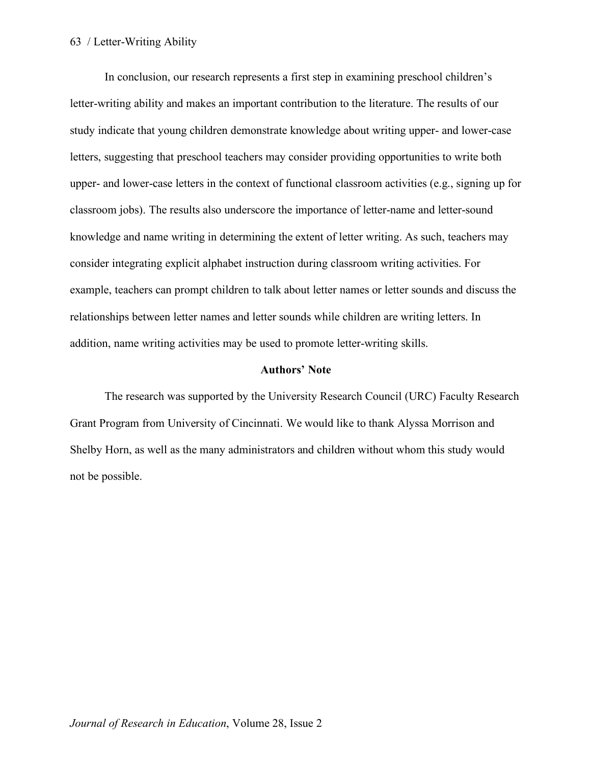In conclusion, our research represents a first step in examining preschool children's letter-writing ability and makes an important contribution to the literature. The results of our study indicate that young children demonstrate knowledge about writing upper- and lower-case letters, suggesting that preschool teachers may consider providing opportunities to write both upper- and lower-case letters in the context of functional classroom activities (e.g., signing up for classroom jobs). The results also underscore the importance of letter-name and letter-sound knowledge and name writing in determining the extent of letter writing. As such, teachers may consider integrating explicit alphabet instruction during classroom writing activities. For example, teachers can prompt children to talk about letter names or letter sounds and discuss the relationships between letter names and letter sounds while children are writing letters. In addition, name writing activities may be used to promote letter-writing skills.

## **Authors' Note**

The research was supported by the University Research Council (URC) Faculty Research Grant Program from University of Cincinnati. We would like to thank Alyssa Morrison and Shelby Horn, as well as the many administrators and children without whom this study would not be possible.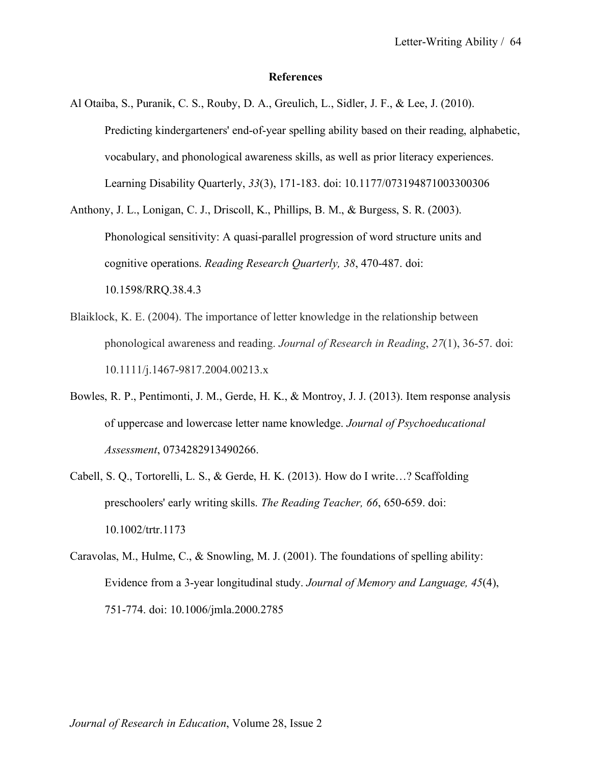## **References**

- Al Otaiba, S., Puranik, C. S., Rouby, D. A., Greulich, L., Sidler, J. F., & Lee, J. (2010). Predicting kindergarteners' end-of-year spelling ability based on their reading, alphabetic, vocabulary, and phonological awareness skills, as well as prior literacy experiences. Learning Disability Quarterly, *33*(3), 171-183. doi: 10.1177/073194871003300306
- Anthony, J. L., Lonigan, C. J., Driscoll, K., Phillips, B. M., & Burgess, S. R. (2003). Phonological sensitivity: A quasi-parallel progression of word structure units and cognitive operations. *Reading Research Quarterly, 38*, 470-487. doi: 10.1598/RRQ.38.4.3
- Blaiklock, K. E. (2004). The importance of letter knowledge in the relationship between phonological awareness and reading. *Journal of Research in Reading*, *27*(1), 36-57. doi: 10.1111/j.1467-9817.2004.00213.x
- Bowles, R. P., Pentimonti, J. M., Gerde, H. K., & Montroy, J. J. (2013). Item response analysis of uppercase and lowercase letter name knowledge. *Journal of Psychoeducational Assessment*, 0734282913490266.
- Cabell, S. Q., Tortorelli, L. S., & Gerde, H. K. (2013). How do I write…? Scaffolding preschoolers' early writing skills. *The Reading Teacher, 66*, 650-659. doi: 10.1002/trtr.1173
- Caravolas, M., Hulme, C., & Snowling, M. J. (2001). The foundations of spelling ability: Evidence from a 3-year longitudinal study. *Journal of Memory and Language, 45*(4), 751-774. doi: 10.1006/jmla.2000.2785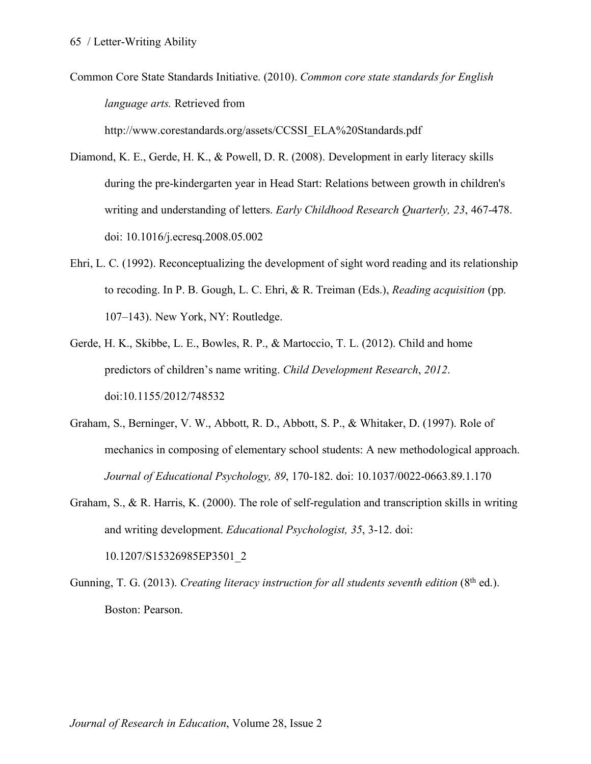Common Core State Standards Initiative. (2010). *Common core state standards for English language arts.* Retrieved from http://www.corestandards.org/assets/CCSSI\_ELA%20Standards.pdf

Diamond, K. E., Gerde, H. K., & Powell, D. R. (2008). Development in early literacy skills during the pre-kindergarten year in Head Start: Relations between growth in children's writing and understanding of letters. *Early Childhood Research Quarterly, 23*, 467-478. doi: 10.1016/j.ecresq.2008.05.002

- Ehri, L. C. (1992). Reconceptualizing the development of sight word reading and its relationship to recoding. In P. B. Gough, L. C. Ehri, & R. Treiman (Eds.), *Reading acquisition* (pp. 107–143). New York, NY: Routledge.
- Gerde, H. K., Skibbe, L. E., Bowles, R. P., & Martoccio, T. L. (2012). Child and home predictors of children's name writing. *Child Development Research*, *2012*. doi:10.1155/2012/748532
- Graham, S., Berninger, V. W., Abbott, R. D., Abbott, S. P., & Whitaker, D. (1997). Role of mechanics in composing of elementary school students: A new methodological approach. *Journal of Educational Psychology, 89*, 170-182. doi: 10.1037/0022-0663.89.1.170
- Graham, S., & R. Harris, K. (2000). The role of self-regulation and transcription skills in writing and writing development. *Educational Psychologist, 35*, 3-12. doi: 10.1207/S15326985EP3501\_2
- Gunning, T. G. (2013). *Creating literacy instruction for all students seventh edition* (8<sup>th</sup> ed.). Boston: Pearson.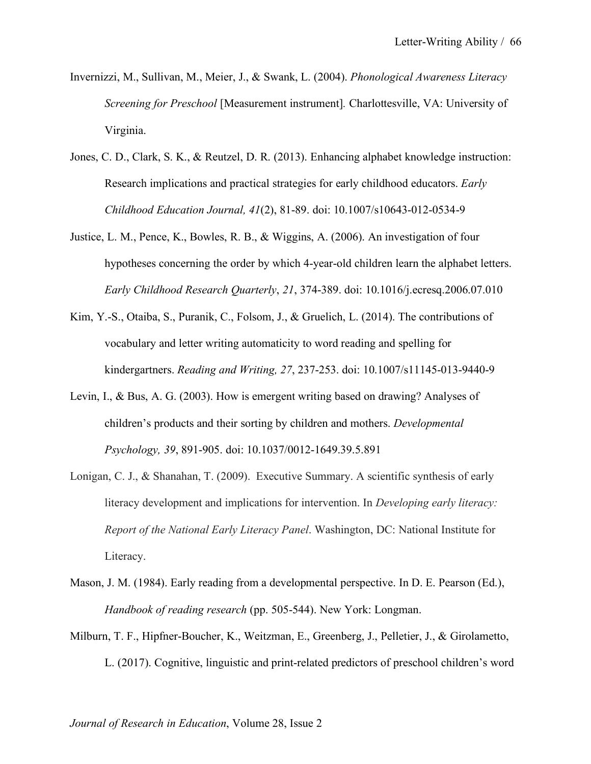- Invernizzi, M., Sullivan, M., Meier, J., & Swank, L. (2004). *Phonological Awareness Literacy Screening for Preschool* [Measurement instrument]*.* Charlottesville, VA: University of Virginia.
- Jones, C. D., Clark, S. K., & Reutzel, D. R. (2013). Enhancing alphabet knowledge instruction: Research implications and practical strategies for early childhood educators. *Early Childhood Education Journal, 41*(2), 81-89. doi: 10.1007/s10643-012-0534-9
- Justice, L. M., Pence, K., Bowles, R. B., & Wiggins, A. (2006). An investigation of four hypotheses concerning the order by which 4-year-old children learn the alphabet letters. *Early Childhood Research Quarterly*, *21*, 374-389. doi: 10.1016/j.ecresq.2006.07.010
- Kim, Y.-S., Otaiba, S., Puranik, C., Folsom, J., & Gruelich, L. (2014). The contributions of vocabulary and letter writing automaticity to word reading and spelling for kindergartners. *Reading and Writing, 27*, 237-253. doi: 10.1007/s11145-013-9440-9
- Levin, I., & Bus, A. G. (2003). How is emergent writing based on drawing? Analyses of children's products and their sorting by children and mothers. *Developmental Psychology, 39*, 891-905. doi: 10.1037/0012-1649.39.5.891
- Lonigan, C. J., & Shanahan, T. (2009). Executive Summary. A scientific synthesis of early literacy development and implications for intervention. In *Developing early literacy: Report of the National Early Literacy Panel*. Washington, DC: National Institute for Literacy.
- Mason, J. M. (1984). Early reading from a developmental perspective. In D. E. Pearson (Ed.), *Handbook of reading research* (pp. 505-544). New York: Longman.
- Milburn, T. F., Hipfner-Boucher, K., Weitzman, E., Greenberg, J., Pelletier, J., & Girolametto, L. (2017). Cognitive, linguistic and print-related predictors of preschool children's word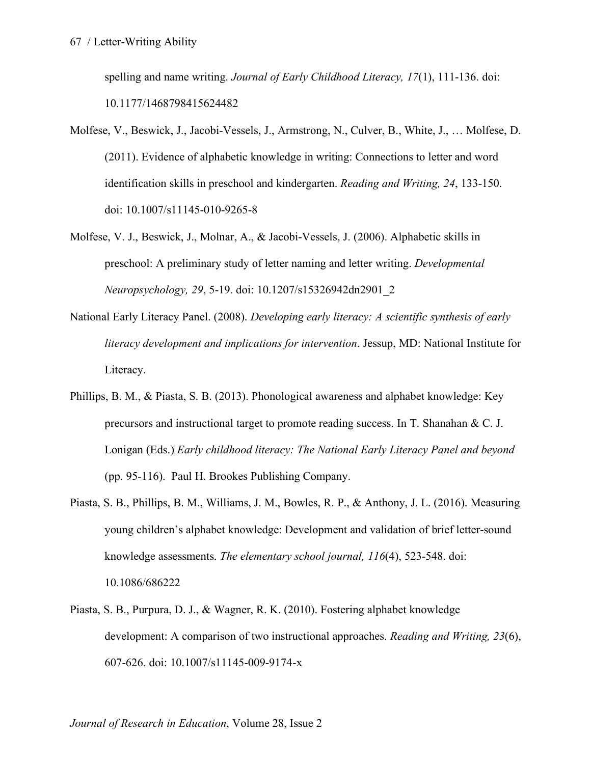spelling and name writing. *Journal of Early Childhood Literacy, 17*(1), 111-136. doi: 10.1177/1468798415624482

- Molfese, V., Beswick, J., Jacobi-Vessels, J., Armstrong, N., Culver, B., White, J., … Molfese, D. (2011). Evidence of alphabetic knowledge in writing: Connections to letter and word identification skills in preschool and kindergarten. *Reading and Writing, 24*, 133-150. doi: 10.1007/s11145-010-9265-8
- Molfese, V. J., Beswick, J., Molnar, A., & Jacobi-Vessels, J. (2006). Alphabetic skills in preschool: A preliminary study of letter naming and letter writing. *Developmental Neuropsychology, 29*, 5-19. doi: 10.1207/s15326942dn2901\_2
- National Early Literacy Panel. (2008). *Developing early literacy: A scientific synthesis of early literacy development and implications for intervention*. Jessup, MD: National Institute for Literacy.
- Phillips, B. M., & Piasta, S. B. (2013). Phonological awareness and alphabet knowledge: Key precursors and instructional target to promote reading success. In T. Shanahan & C. J. Lonigan (Eds.) *Early childhood literacy: The National Early Literacy Panel and beyond* (pp. 95-116). Paul H. Brookes Publishing Company.
- Piasta, S. B., Phillips, B. M., Williams, J. M., Bowles, R. P., & Anthony, J. L. (2016). Measuring young children's alphabet knowledge: Development and validation of brief letter-sound knowledge assessments. *The elementary school journal, 116*(4), 523-548. doi: 10.1086/686222
- Piasta, S. B., Purpura, D. J., & Wagner, R. K. (2010). Fostering alphabet knowledge development: A comparison of two instructional approaches. *Reading and Writing, 23*(6), 607-626. doi: 10.1007/s11145-009-9174-x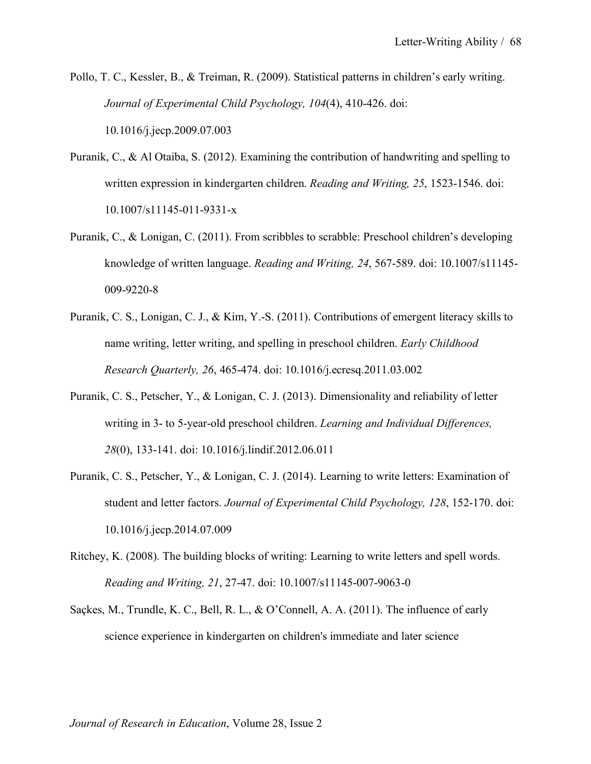- Pollo, T. C., Kessler, B., & Treiman, R. (2009). Statistical patterns in children's early writing. *Journal of Experimental Child Psychology, 104*(4), 410-426. doi: 10.1016/j.jecp.2009.07.003
- Puranik, C., & Al Otaiba, S. (2012). Examining the contribution of handwriting and spelling to written expression in kindergarten children. *Reading and Writing, 25*, 1523-1546. doi: 10.1007/s11145-011-9331-x
- Puranik, C., & Lonigan, C. (2011). From scribbles to scrabble: Preschool children's developing knowledge of written language. *Reading and Writing, 24*, 567-589. doi: 10.1007/s11145- 009-9220-8
- Puranik, C. S., Lonigan, C. J., & Kim, Y.-S. (2011). Contributions of emergent literacy skills to name writing, letter writing, and spelling in preschool children. *Early Childhood Research Quarterly, 26*, 465-474. doi: 10.1016/j.ecresq.2011.03.002
- Puranik, C. S., Petscher, Y., & Lonigan, C. J. (2013). Dimensionality and reliability of letter writing in 3- to 5-year-old preschool children. *Learning and Individual Differences, 28*(0), 133-141. doi: 10.1016/j.lindif.2012.06.011
- Puranik, C. S., Petscher, Y., & Lonigan, C. J. (2014). Learning to write letters: Examination of student and letter factors. *Journal of Experimental Child Psychology, 128*, 152-170. doi: 10.1016/j.jecp.2014.07.009
- Ritchey, K. (2008). The building blocks of writing: Learning to write letters and spell words. *Reading and Writing, 21*, 27-47. doi: 10.1007/s11145-007-9063-0
- Saçkes, M., Trundle, K. C., Bell, R. L., & O'Connell, A. A. (2011). The influence of early science experience in kindergarten on children's immediate and later science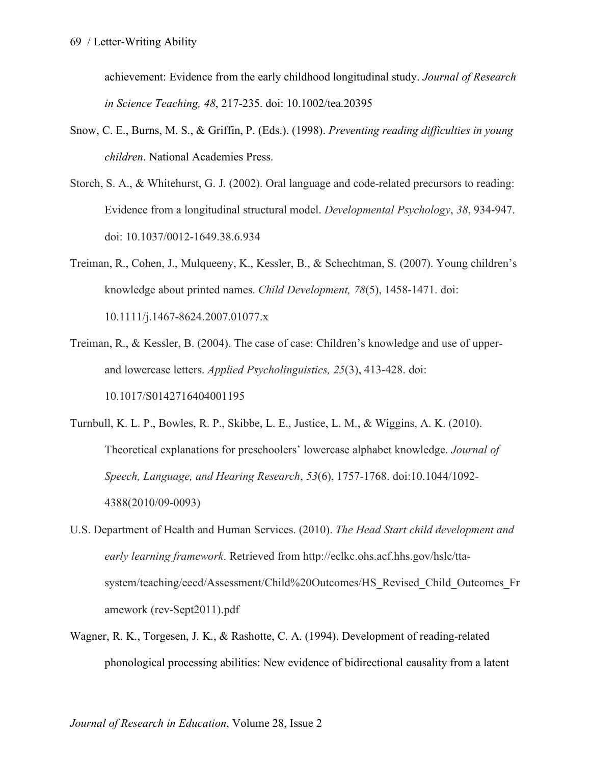achievement: Evidence from the early childhood longitudinal study. *Journal of Research in Science Teaching, 48*, 217-235. doi: 10.1002/tea.20395

- Snow, C. E., Burns, M. S., & Griffin, P. (Eds.). (1998). *Preventing reading difficulties in young children*. National Academies Press.
- Storch, S. A., & Whitehurst, G. J. (2002). Oral language and code-related precursors to reading: Evidence from a longitudinal structural model. *Developmental Psychology*, *38*, 934-947. doi: 10.1037/0012-1649.38.6.934
- Treiman, R., Cohen, J., Mulqueeny, K., Kessler, B., & Schechtman, S. (2007). Young children's knowledge about printed names. *Child Development, 78*(5), 1458-1471. doi: 10.1111/j.1467-8624.2007.01077.x
- Treiman, R., & Kessler, B. (2004). The case of case: Children's knowledge and use of upperand lowercase letters. *Applied Psycholinguistics, 25*(3), 413-428. doi: 10.1017/S0142716404001195
- Turnbull, K. L. P., Bowles, R. P., Skibbe, L. E., Justice, L. M., & Wiggins, A. K. (2010). Theoretical explanations for preschoolers' lowercase alphabet knowledge. *Journal of Speech, Language, and Hearing Research*, *53*(6), 1757-1768. doi:10.1044/1092- 4388(2010/09-0093)
- U.S. Department of Health and Human Services. (2010). *The Head Start child development and early learning framework*. Retrieved from http://eclkc.ohs.acf.hhs.gov/hslc/ttasystem/teaching/eecd/Assessment/Child%20Outcomes/HS\_Revised\_Child\_Outcomes\_Fr amework (rev-Sept2011).pdf
- Wagner, R. K., Torgesen, J. K., & Rashotte, C. A. (1994). Development of reading-related phonological processing abilities: New evidence of bidirectional causality from a latent